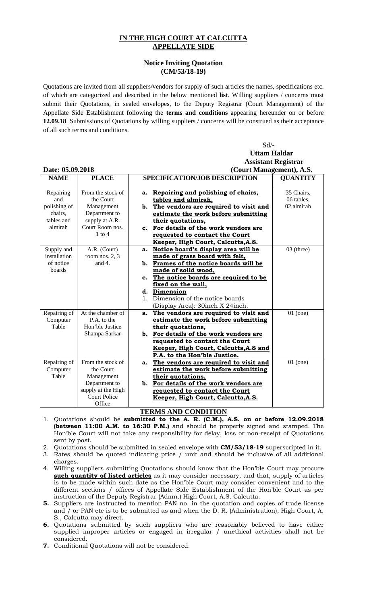## **IN THE HIGH COURT AT CALCUTTA APPELLATE SIDE**

## **Notice Inviting Quotation (CM/53/18-19)**

Quotations are invited from all suppliers/vendors for supply of such articles the names, specifications etc. of which are categorized and described in the below mentioned **list**. Willing suppliers / concerns must submit their Quotations, in sealed envelopes, to the Deputy Registrar (Court Management) of the Appellate Side Establishment following the **terms and conditions** appearing hereunder on or before **12.09.18**. Submissions of Quotations by willing suppliers / concerns will be construed as their acceptance of all such terms and conditions.

|                             |                     |                                      | Sd                                       |                            |  |
|-----------------------------|---------------------|--------------------------------------|------------------------------------------|----------------------------|--|
|                             |                     |                                      | <b>Uttam Haldar</b>                      |                            |  |
|                             |                     |                                      |                                          | <b>Assistant Registrar</b> |  |
| Date: 05.09.2018            |                     |                                      | (Court Management), A.S.                 |                            |  |
| <b>PLACE</b><br><b>NAME</b> |                     | <b>SPECIFICATION/JOB DESCRIPTION</b> |                                          | <b>QUANTITY</b>            |  |
|                             |                     |                                      |                                          |                            |  |
| Repairing                   | From the stock of   | a.                                   | Repairing and polishing of chairs,       | 35 Chairs,                 |  |
| and                         | the Court           |                                      | tables and almirah,                      | 06 tables,                 |  |
| polishing of                | Management          |                                      | b. The vendors are required to visit and | 02 almirah                 |  |
| chairs,                     | Department to       |                                      | estimate the work before submitting      |                            |  |
| tables and                  | supply at A.R.      |                                      | their quotations,                        |                            |  |
| almirah                     | Court Room nos.     |                                      | c. For details of the work vendors are   |                            |  |
|                             | $1$ to $4$          |                                      | requested to contact the Court           |                            |  |
|                             |                     |                                      | Keeper, High Court, Calcutta, A.S.       |                            |  |
| Supply and                  | A.R. (Court)        | а.                                   | Notice board's display area will be      | 03 (three)                 |  |
| installation                | room nos. $2, 3$    |                                      | made of grass board with felt,           |                            |  |
| of notice                   | and 4.              |                                      | b. Frames of the notice boards will be   |                            |  |
| boards                      |                     |                                      | made of solid wood,                      |                            |  |
|                             |                     |                                      | c. The notice boards are required to be  |                            |  |
|                             |                     |                                      | fixed on the wall,                       |                            |  |
|                             |                     |                                      | d. Dimension                             |                            |  |
|                             |                     | $\mathbf{1}_{\cdot}$                 | Dimension of the notice boards           |                            |  |
|                             |                     |                                      | (Display Area): 30inch X 24inch.         |                            |  |
| Repairing of                | At the chamber of   | a.                                   | The vendors are required to visit and    | $01$ (one)                 |  |
| Computer                    | P.A. to the         |                                      | estimate the work before submitting      |                            |  |
| Table                       | Hon'ble Justice     |                                      | their quotations,                        |                            |  |
|                             | Shampa Sarkar       |                                      | b. For details of the work vendors are   |                            |  |
|                             |                     |                                      | requested to contact the Court           |                            |  |
|                             |                     |                                      | Keeper, High Court, Calcutta, A.S and    |                            |  |
|                             |                     |                                      | P.A. to the Hon'ble Justice.             |                            |  |
| Repairing of                | From the stock of   | a.                                   | The vendors are required to visit and    | $01$ (one)                 |  |
| Computer                    | the Court           |                                      | estimate the work before submitting      |                            |  |
| Table                       | Management          |                                      | their quotations,                        |                            |  |
|                             | Department to       |                                      | b. For details of the work vendors are   |                            |  |
|                             | supply at the High  |                                      | requested to contact the Court           |                            |  |
|                             | <b>Court Police</b> |                                      | Keeper, High Court, Calcutta, A.S.       |                            |  |
|                             | Office              |                                      |                                          |                            |  |

## **TERMS AND CONDITION**

- 1. Quotations should be **submitted to the A. R. (C.M.), A.S. on or before 12.09.2018 (between 11:00 A.M. to 16:30 P.M.)** and should be properly signed and stamped. The Hon'ble Court will not take any responsibility for delay, loss or non-receipt of Quotations sent by post.
- 2. Quotations should be submitted in sealed envelope with **CM/53/18-19** superscripted in it.
- 3. Rates should be quoted indicating price / unit and should be inclusive of all additional charges.
- 4. Willing suppliers submitting Quotations should know that the Hon'ble Court may procure **such quantity of listed articles** as it may consider necessary, and that, supply of articles is to be made within such date as the Hon'ble Court may consider convenient and to the different sections / offices of Appellate Side Establishment of the Hon'ble Court as per instruction of the Deputy Registrar (Admn.) High Court, A.S. Calcutta.
- **5.** Suppliers are instructed to mention PAN no. in the quotation and copies of trade license and / or PAN etc is to be submitted as and when the D. R. (Administration), High Court, A. S., Calcutta may direct.
- **6.** Quotations submitted by such suppliers who are reasonably believed to have either supplied improper articles or engaged in irregular / unethical activities shall not be considered.
- **7.** Conditional Quotations will not be considered.